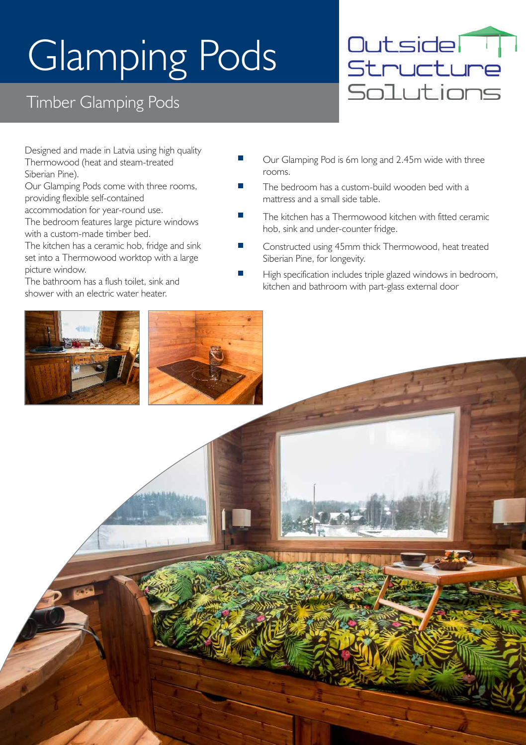# Glamping Pods

#### Timber Glamping Pods



Designed and made in Latvia using high quality Thermowood (heat and steam-treated Siberian Pine).

Our Glamping Pods come with three rooms, providing flexible self-contained

accommodation for year-round use.

The bedroom features large picture windows with a custom-made timber bed.

The kitchen has a ceramic hob, fridge and sink set into a Thermowood worktop with a large picture window.

The bathroom has a flush toilet, sink and shower with an electric water heater.

- Our Glamping Pod is 6m long and 2.45m wide with three rooms.
- The bedroom has a custom-build wooden bed with a mattress and a small side table.
- The kitchen has a Thermowood kitchen with fitted ceramic hob, sink and under-counter fridge.
- Constructed using 45mm thick Thermowood, heat treated Siberian Pine, for longevity.
- High specification includes triple glazed windows in bedroom, kitchen and bathroom with part-glass external door